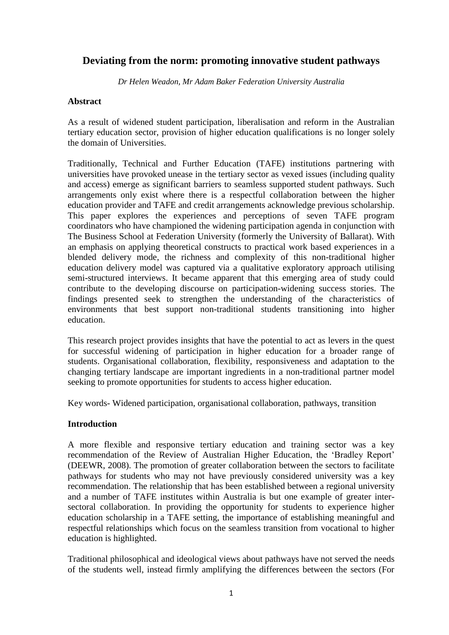# **Deviating from the norm: promoting innovative student pathways**

*Dr Helen Weadon, Mr Adam Baker Federation University Australia*

## **Abstract**

As a result of widened student participation, liberalisation and reform in the Australian tertiary education sector, provision of higher education qualifications is no longer solely the domain of Universities.

Traditionally, Technical and Further Education (TAFE) institutions partnering with universities have provoked unease in the tertiary sector as vexed issues (including quality and access) emerge as significant barriers to seamless supported student pathways. Such arrangements only exist where there is a respectful collaboration between the higher education provider and TAFE and credit arrangements acknowledge previous scholarship. This paper explores the experiences and perceptions of seven TAFE program coordinators who have championed the widening participation agenda in conjunction with The Business School at Federation University (formerly the University of Ballarat). With an emphasis on applying theoretical constructs to practical work based experiences in a blended delivery mode, the richness and complexity of this non-traditional higher education delivery model was captured via a qualitative exploratory approach utilising semi-structured interviews. It became apparent that this emerging area of study could contribute to the developing discourse on participation-widening success stories. The findings presented seek to strengthen the understanding of the characteristics of environments that best support non-traditional students transitioning into higher education.

This research project provides insights that have the potential to act as levers in the quest for successful widening of participation in higher education for a broader range of students. Organisational collaboration, flexibility, responsiveness and adaptation to the changing tertiary landscape are important ingredients in a non-traditional partner model seeking to promote opportunities for students to access higher education.

Key words- Widened participation, organisational collaboration, pathways, transition

## **Introduction**

A more flexible and responsive tertiary education and training sector was a key recommendation of the Review of Australian Higher Education, the 'Bradley Report' (DEEWR, 2008). The promotion of greater collaboration between the sectors to facilitate pathways for students who may not have previously considered university was a key recommendation. The relationship that has been established between a regional university and a number of TAFE institutes within Australia is but one example of greater intersectoral collaboration. In providing the opportunity for students to experience higher education scholarship in a TAFE setting, the importance of establishing meaningful and respectful relationships which focus on the seamless transition from vocational to higher education is highlighted.

Traditional philosophical and ideological views about pathways have not served the needs of the students well, instead firmly amplifying the differences between the sectors (For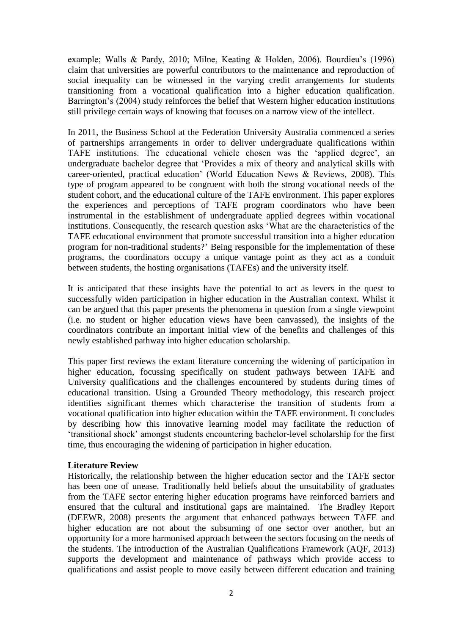example; Walls & Pardy, 2010; Milne, Keating & Holden, 2006). Bourdieu's (1996) claim that universities are powerful contributors to the maintenance and reproduction of social inequality can be witnessed in the varying credit arrangements for students transitioning from a vocational qualification into a higher education qualification. Barrington's (2004) study reinforces the belief that Western higher education institutions still privilege certain ways of knowing that focuses on a narrow view of the intellect.

In 2011, the Business School at the Federation University Australia commenced a series of partnerships arrangements in order to deliver undergraduate qualifications within TAFE institutions. The educational vehicle chosen was the 'applied degree', an undergraduate bachelor degree that 'Provides a mix of theory and analytical skills with career-oriented, practical education' (World Education News & Reviews, 2008). This type of program appeared to be congruent with both the strong vocational needs of the student cohort, and the educational culture of the TAFE environment. This paper explores the experiences and perceptions of TAFE program coordinators who have been instrumental in the establishment of undergraduate applied degrees within vocational institutions. Consequently, the research question asks 'What are the characteristics of the TAFE educational environment that promote successful transition into a higher education program for non-traditional students?' Being responsible for the implementation of these programs, the coordinators occupy a unique vantage point as they act as a conduit between students, the hosting organisations (TAFEs) and the university itself.

It is anticipated that these insights have the potential to act as levers in the quest to successfully widen participation in higher education in the Australian context. Whilst it can be argued that this paper presents the phenomena in question from a single viewpoint (i.e. no student or higher education views have been canvassed), the insights of the coordinators contribute an important initial view of the benefits and challenges of this newly established pathway into higher education scholarship.

This paper first reviews the extant literature concerning the widening of participation in higher education, focussing specifically on student pathways between TAFE and University qualifications and the challenges encountered by students during times of educational transition. Using a Grounded Theory methodology, this research project identifies significant themes which characterise the transition of students from a vocational qualification into higher education within the TAFE environment. It concludes by describing how this innovative learning model may facilitate the reduction of 'transitional shock' amongst students encountering bachelor-level scholarship for the first time, thus encouraging the widening of participation in higher education.

## **Literature Review**

Historically, the relationship between the higher education sector and the TAFE sector has been one of unease. Traditionally held beliefs about the unsuitability of graduates from the TAFE sector entering higher education programs have reinforced barriers and ensured that the cultural and institutional gaps are maintained. The Bradley Report (DEEWR, 2008) presents the argument that enhanced pathways between TAFE and higher education are not about the subsuming of one sector over another, but an opportunity for a more harmonised approach between the sectors focusing on the needs of the students. The introduction of the Australian Qualifications Framework (AQF, 2013) supports the development and maintenance of pathways which provide access to qualifications and assist people to move easily between different education and training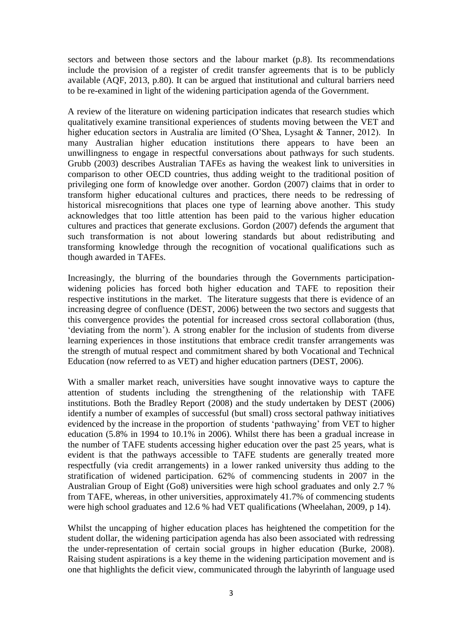sectors and between those sectors and the labour market (p.8). Its recommendations include the provision of a register of credit transfer agreements that is to be publicly available (AQF, 2013, p.80). It can be argued that institutional and cultural barriers need to be re-examined in light of the widening participation agenda of the Government.

A review of the literature on widening participation indicates that research studies which qualitatively examine transitional experiences of students moving between the VET and higher education sectors in Australia are limited (O'Shea, Lysaght & Tanner, 2012). In many Australian higher education institutions there appears to have been an unwillingness to engage in respectful conversations about pathways for such students. Grubb (2003) describes Australian TAFEs as having the weakest link to universities in comparison to other OECD countries, thus adding weight to the traditional position of privileging one form of knowledge over another. Gordon (2007) claims that in order to transform higher educational cultures and practices, there needs to be redressing of historical misrecognitions that places one type of learning above another. This study acknowledges that too little attention has been paid to the various higher education cultures and practices that generate exclusions. Gordon (2007) defends the argument that such transformation is not about lowering standards but about redistributing and transforming knowledge through the recognition of vocational qualifications such as though awarded in TAFEs.

Increasingly, the blurring of the boundaries through the Governments participationwidening policies has forced both higher education and TAFE to reposition their respective institutions in the market. The literature suggests that there is evidence of an increasing degree of confluence (DEST, 2006) between the two sectors and suggests that this convergence provides the potential for increased cross sectoral collaboration (thus, 'deviating from the norm'). A strong enabler for the inclusion of students from diverse learning experiences in those institutions that embrace credit transfer arrangements was the strength of mutual respect and commitment shared by both Vocational and Technical Education (now referred to as VET) and higher education partners (DEST, 2006).

With a smaller market reach, universities have sought innovative ways to capture the attention of students including the strengthening of the relationship with TAFE institutions. Both the Bradley Report (2008) and the study undertaken by DEST (2006) identify a number of examples of successful (but small) cross sectoral pathway initiatives evidenced by the increase in the proportion of students 'pathwaying' from VET to higher education (5.8% in 1994 to 10.1% in 2006). Whilst there has been a gradual increase in the number of TAFE students accessing higher education over the past 25 years, what is evident is that the pathways accessible to TAFE students are generally treated more respectfully (via credit arrangements) in a lower ranked university thus adding to the stratification of widened participation. 62% of commencing students in 2007 in the Australian Group of Eight (Go8) universities were high school graduates and only 2.7 % from TAFE, whereas, in other universities, approximately 41.7% of commencing students were high school graduates and 12.6 % had VET qualifications (Wheelahan, 2009, p 14).

Whilst the uncapping of higher education places has heightened the competition for the student dollar, the widening participation agenda has also been associated with redressing the under-representation of certain social groups in higher education (Burke, 2008). Raising student aspirations is a key theme in the widening participation movement and is one that highlights the deficit view, communicated through the labyrinth of language used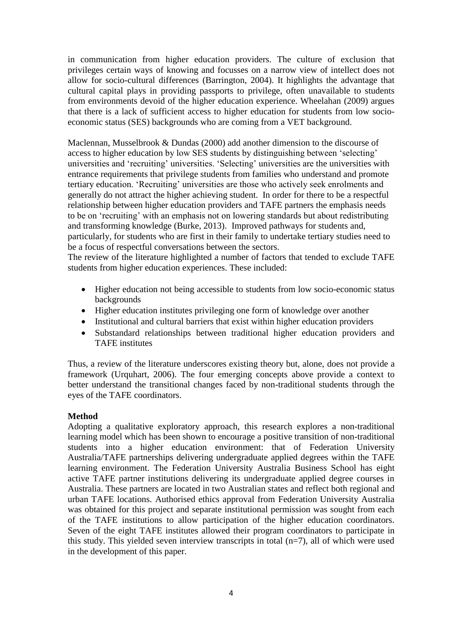in communication from higher education providers. The culture of exclusion that privileges certain ways of knowing and focusses on a narrow view of intellect does not allow for socio-cultural differences (Barrington, 2004). It highlights the advantage that cultural capital plays in providing passports to privilege, often unavailable to students from environments devoid of the higher education experience. Wheelahan (2009) argues that there is a lack of sufficient access to higher education for students from low socioeconomic status (SES) backgrounds who are coming from a VET background.

Maclennan, Musselbrook & Dundas (2000) add another dimension to the discourse of access to higher education by low SES students by distinguishing between 'selecting' universities and 'recruiting' universities. 'Selecting' universities are the universities with entrance requirements that privilege students from families who understand and promote tertiary education. 'Recruiting' universities are those who actively seek enrolments and generally do not attract the higher achieving student. In order for there to be a respectful relationship between higher education providers and TAFE partners the emphasis needs to be on 'recruiting' with an emphasis not on lowering standards but about redistributing and transforming knowledge (Burke, 2013). Improved pathways for students and, particularly, for students who are first in their family to undertake tertiary studies need to be a focus of respectful conversations between the sectors.

The review of the literature highlighted a number of factors that tended to exclude TAFE students from higher education experiences. These included:

- Higher education not being accessible to students from low socio-economic status backgrounds
- Higher education institutes privileging one form of knowledge over another
- Institutional and cultural barriers that exist within higher education providers
- Substandard relationships between traditional higher education providers and TAFE institutes

Thus, a review of the literature underscores existing theory but, alone, does not provide a framework (Urquhart, 2006). The four emerging concepts above provide a context to better understand the transitional changes faced by non-traditional students through the eyes of the TAFE coordinators.

## **Method**

Adopting a qualitative exploratory approach, this research explores a non-traditional learning model which has been shown to encourage a positive transition of non-traditional students into a higher education environment: that of Federation University Australia/TAFE partnerships delivering undergraduate applied degrees within the TAFE learning environment. The Federation University Australia Business School has eight active TAFE partner institutions delivering its undergraduate applied degree courses in Australia. These partners are located in two Australian states and reflect both regional and urban TAFE locations. Authorised ethics approval from Federation University Australia was obtained for this project and separate institutional permission was sought from each of the TAFE institutions to allow participation of the higher education coordinators. Seven of the eight TAFE institutes allowed their program coordinators to participate in this study. This yielded seven interview transcripts in total  $(n=7)$ , all of which were used in the development of this paper.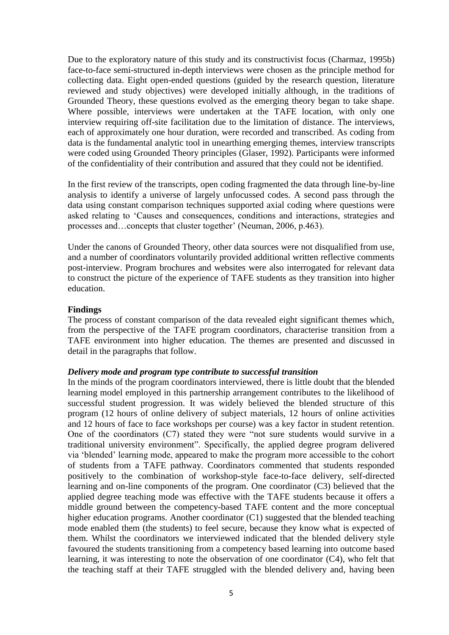Due to the exploratory nature of this study and its constructivist focus (Charmaz, 1995b) face-to-face semi-structured in-depth interviews were chosen as the principle method for collecting data. Eight open-ended questions (guided by the research question, literature reviewed and study objectives) were developed initially although, in the traditions of Grounded Theory, these questions evolved as the emerging theory began to take shape. Where possible, interviews were undertaken at the TAFE location, with only one interview requiring off-site facilitation due to the limitation of distance. The interviews, each of approximately one hour duration, were recorded and transcribed. As coding from data is the fundamental analytic tool in unearthing emerging themes, interview transcripts were coded using Grounded Theory principles (Glaser, 1992). Participants were informed of the confidentiality of their contribution and assured that they could not be identified.

In the first review of the transcripts, open coding fragmented the data through line-by-line analysis to identify a universe of largely unfocussed codes. A second pass through the data using constant comparison techniques supported axial coding where questions were asked relating to 'Causes and consequences, conditions and interactions, strategies and processes and…concepts that cluster together' (Neuman, 2006, p.463).

Under the canons of Grounded Theory, other data sources were not disqualified from use, and a number of coordinators voluntarily provided additional written reflective comments post-interview. Program brochures and websites were also interrogated for relevant data to construct the picture of the experience of TAFE students as they transition into higher education.

#### **Findings**

The process of constant comparison of the data revealed eight significant themes which, from the perspective of the TAFE program coordinators, characterise transition from a TAFE environment into higher education. The themes are presented and discussed in detail in the paragraphs that follow.

#### *Delivery mode and program type contribute to successful transition*

In the minds of the program coordinators interviewed, there is little doubt that the blended learning model employed in this partnership arrangement contributes to the likelihood of successful student progression. It was widely believed the blended structure of this program (12 hours of online delivery of subject materials, 12 hours of online activities and 12 hours of face to face workshops per course) was a key factor in student retention. One of the coordinators (C7) stated they were "not sure students would survive in a traditional university environment". Specifically, the applied degree program delivered via 'blended' learning mode, appeared to make the program more accessible to the cohort of students from a TAFE pathway. Coordinators commented that students responded positively to the combination of workshop-style face-to-face delivery, self-directed learning and on-line components of the program. One coordinator (C3) believed that the applied degree teaching mode was effective with the TAFE students because it offers a middle ground between the competency-based TAFE content and the more conceptual higher education programs. Another coordinator (C1) suggested that the blended teaching mode enabled them (the students) to feel secure, because they know what is expected of them. Whilst the coordinators we interviewed indicated that the blended delivery style favoured the students transitioning from a competency based learning into outcome based learning, it was interesting to note the observation of one coordinator (C4), who felt that the teaching staff at their TAFE struggled with the blended delivery and, having been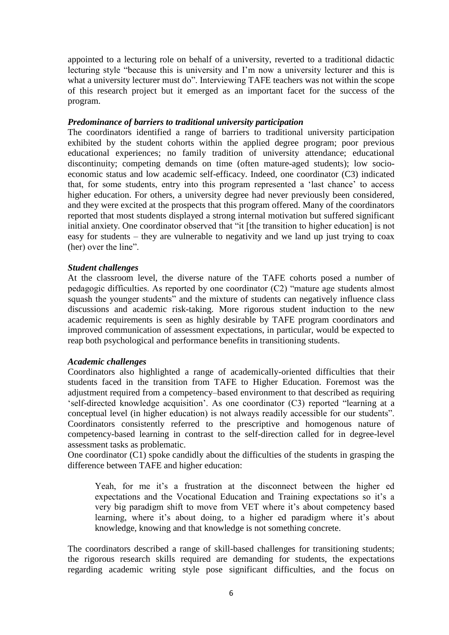appointed to a lecturing role on behalf of a university, reverted to a traditional didactic lecturing style "because this is university and I'm now a university lecturer and this is what a university lecturer must do". Interviewing TAFE teachers was not within the scope of this research project but it emerged as an important facet for the success of the program.

#### *Predominance of barriers to traditional university participation*

The coordinators identified a range of barriers to traditional university participation exhibited by the student cohorts within the applied degree program; poor previous educational experiences; no family tradition of university attendance; educational discontinuity; competing demands on time (often mature-aged students); low socioeconomic status and low academic self-efficacy. Indeed, one coordinator (C3) indicated that, for some students, entry into this program represented a 'last chance' to access higher education. For others, a university degree had never previously been considered, and they were excited at the prospects that this program offered. Many of the coordinators reported that most students displayed a strong internal motivation but suffered significant initial anxiety. One coordinator observed that "it [the transition to higher education] is not easy for students – they are vulnerable to negativity and we land up just trying to coax (her) over the line".

#### *Student challenges*

At the classroom level, the diverse nature of the TAFE cohorts posed a number of pedagogic difficulties. As reported by one coordinator (C2) "mature age students almost squash the younger students" and the mixture of students can negatively influence class discussions and academic risk-taking. More rigorous student induction to the new academic requirements is seen as highly desirable by TAFE program coordinators and improved communication of assessment expectations, in particular, would be expected to reap both psychological and performance benefits in transitioning students.

#### *Academic challenges*

Coordinators also highlighted a range of academically-oriented difficulties that their students faced in the transition from TAFE to Higher Education. Foremost was the adjustment required from a competency–based environment to that described as requiring 'self-directed knowledge acquisition'. As one coordinator (C3) reported "learning at a conceptual level (in higher education) is not always readily accessible for our students". Coordinators consistently referred to the prescriptive and homogenous nature of competency-based learning in contrast to the self-direction called for in degree-level assessment tasks as problematic.

One coordinator (C1) spoke candidly about the difficulties of the students in grasping the difference between TAFE and higher education:

Yeah, for me it's a frustration at the disconnect between the higher ed expectations and the Vocational Education and Training expectations so it's a very big paradigm shift to move from VET where it's about competency based learning, where it's about doing, to a higher ed paradigm where it's about knowledge, knowing and that knowledge is not something concrete.

The coordinators described a range of skill-based challenges for transitioning students; the rigorous research skills required are demanding for students, the expectations regarding academic writing style pose significant difficulties, and the focus on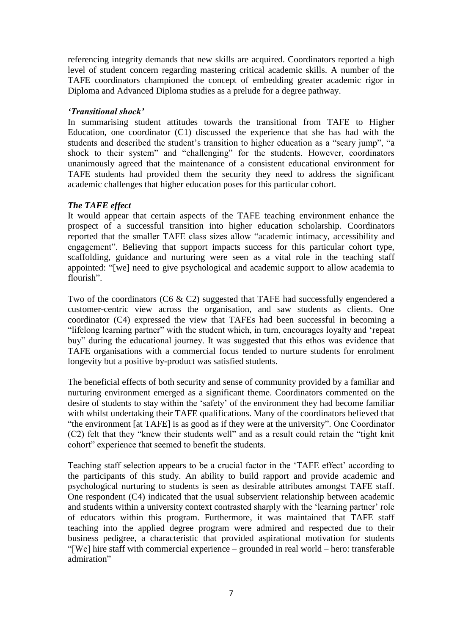referencing integrity demands that new skills are acquired. Coordinators reported a high level of student concern regarding mastering critical academic skills. A number of the TAFE coordinators championed the concept of embedding greater academic rigor in Diploma and Advanced Diploma studies as a prelude for a degree pathway.

## *'Transitional shock'*

In summarising student attitudes towards the transitional from TAFE to Higher Education, one coordinator (C1) discussed the experience that she has had with the students and described the student's transition to higher education as a "scary jump", "a shock to their system" and "challenging" for the students. However, coordinators unanimously agreed that the maintenance of a consistent educational environment for TAFE students had provided them the security they need to address the significant academic challenges that higher education poses for this particular cohort.

## *The TAFE effect*

It would appear that certain aspects of the TAFE teaching environment enhance the prospect of a successful transition into higher education scholarship. Coordinators reported that the smaller TAFE class sizes allow "academic intimacy, accessibility and engagement". Believing that support impacts success for this particular cohort type, scaffolding, guidance and nurturing were seen as a vital role in the teaching staff appointed: "[we] need to give psychological and academic support to allow academia to flourish"

Two of the coordinators (C6 & C2) suggested that TAFE had successfully engendered a customer-centric view across the organisation, and saw students as clients. One coordinator (C4) expressed the view that TAFEs had been successful in becoming a "lifelong learning partner" with the student which, in turn, encourages loyalty and 'repeat buy" during the educational journey. It was suggested that this ethos was evidence that TAFE organisations with a commercial focus tended to nurture students for enrolment longevity but a positive by-product was satisfied students.

The beneficial effects of both security and sense of community provided by a familiar and nurturing environment emerged as a significant theme. Coordinators commented on the desire of students to stay within the 'safety' of the environment they had become familiar with whilst undertaking their TAFE qualifications. Many of the coordinators believed that "the environment [at TAFE] is as good as if they were at the university". One Coordinator (C2) felt that they "knew their students well" and as a result could retain the "tight knit cohort" experience that seemed to benefit the students.

Teaching staff selection appears to be a crucial factor in the 'TAFE effect' according to the participants of this study. An ability to build rapport and provide academic and psychological nurturing to students is seen as desirable attributes amongst TAFE staff. One respondent (C4) indicated that the usual subservient relationship between academic and students within a university context contrasted sharply with the 'learning partner' role of educators within this program. Furthermore, it was maintained that TAFE staff teaching into the applied degree program were admired and respected due to their business pedigree, a characteristic that provided aspirational motivation for students "[We] hire staff with commercial experience – grounded in real world – hero: transferable admiration"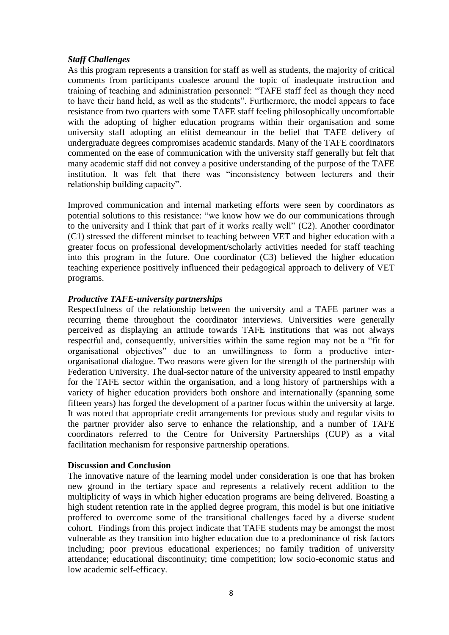## *Staff Challenges*

As this program represents a transition for staff as well as students, the majority of critical comments from participants coalesce around the topic of inadequate instruction and training of teaching and administration personnel: "TAFE staff feel as though they need to have their hand held, as well as the students". Furthermore, the model appears to face resistance from two quarters with some TAFE staff feeling philosophically uncomfortable with the adopting of higher education programs within their organisation and some university staff adopting an elitist demeanour in the belief that TAFE delivery of undergraduate degrees compromises academic standards. Many of the TAFE coordinators commented on the ease of communication with the university staff generally but felt that many academic staff did not convey a positive understanding of the purpose of the TAFE institution. It was felt that there was "inconsistency between lecturers and their relationship building capacity".

Improved communication and internal marketing efforts were seen by coordinators as potential solutions to this resistance: "we know how we do our communications through to the university and I think that part of it works really well" (C2). Another coordinator (C1) stressed the different mindset to teaching between VET and higher education with a greater focus on professional development/scholarly activities needed for staff teaching into this program in the future. One coordinator (C3) believed the higher education teaching experience positively influenced their pedagogical approach to delivery of VET programs.

## *Productive TAFE-university partnerships*

Respectfulness of the relationship between the university and a TAFE partner was a recurring theme throughout the coordinator interviews. Universities were generally perceived as displaying an attitude towards TAFE institutions that was not always respectful and, consequently, universities within the same region may not be a "fit for organisational objectives" due to an unwillingness to form a productive interorganisational dialogue. Two reasons were given for the strength of the partnership with Federation University. The dual-sector nature of the university appeared to instil empathy for the TAFE sector within the organisation, and a long history of partnerships with a variety of higher education providers both onshore and internationally (spanning some fifteen years) has forged the development of a partner focus within the university at large. It was noted that appropriate credit arrangements for previous study and regular visits to the partner provider also serve to enhance the relationship, and a number of TAFE coordinators referred to the Centre for University Partnerships (CUP) as a vital facilitation mechanism for responsive partnership operations.

## **Discussion and Conclusion**

The innovative nature of the learning model under consideration is one that has broken new ground in the tertiary space and represents a relatively recent addition to the multiplicity of ways in which higher education programs are being delivered. Boasting a high student retention rate in the applied degree program, this model is but one initiative proffered to overcome some of the transitional challenges faced by a diverse student cohort. Findings from this project indicate that TAFE students may be amongst the most vulnerable as they transition into higher education due to a predominance of risk factors including; poor previous educational experiences; no family tradition of university attendance; educational discontinuity; time competition; low socio-economic status and low academic self-efficacy.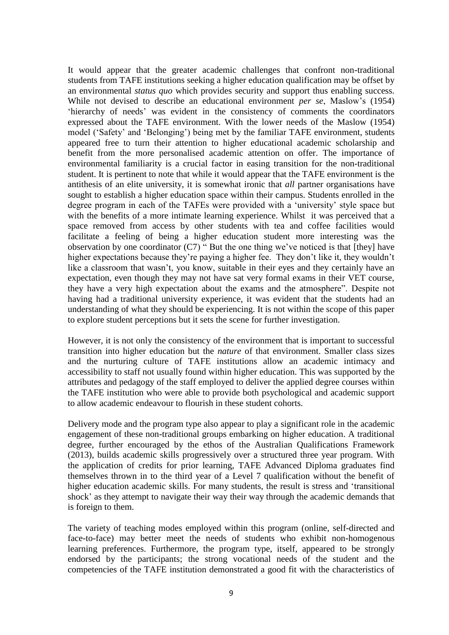It would appear that the greater academic challenges that confront non-traditional students from TAFE institutions seeking a higher education qualification may be offset by an environmental *status quo* which provides security and support thus enabling success. While not devised to describe an educational environment *per se*, Maslow's (1954) 'hierarchy of needs' was evident in the consistency of comments the coordinators expressed about the TAFE environment. With the lower needs of the Maslow (1954) model ('Safety' and 'Belonging') being met by the familiar TAFE environment, students appeared free to turn their attention to higher educational academic scholarship and benefit from the more personalised academic attention on offer. The importance of environmental familiarity is a crucial factor in easing transition for the non-traditional student. It is pertinent to note that while it would appear that the TAFE environment is the antithesis of an elite university, it is somewhat ironic that *all* partner organisations have sought to establish a higher education space within their campus. Students enrolled in the degree program in each of the TAFEs were provided with a 'university' style space but with the benefits of a more intimate learning experience. Whilst it was perceived that a space removed from access by other students with tea and coffee facilities would facilitate a feeling of being a higher education student more interesting was the observation by one coordinator  $(C7)$  "But the one thing we've noticed is that [they] have higher expectations because they're paying a higher fee. They don't like it, they wouldn't like a classroom that wasn't, you know, suitable in their eyes and they certainly have an expectation, even though they may not have sat very formal exams in their VET course, they have a very high expectation about the exams and the atmosphere". Despite not having had a traditional university experience, it was evident that the students had an understanding of what they should be experiencing. It is not within the scope of this paper to explore student perceptions but it sets the scene for further investigation.

However, it is not only the consistency of the environment that is important to successful transition into higher education but the *nature* of that environment. Smaller class sizes and the nurturing culture of TAFE institutions allow an academic intimacy and accessibility to staff not usually found within higher education. This was supported by the attributes and pedagogy of the staff employed to deliver the applied degree courses within the TAFE institution who were able to provide both psychological and academic support to allow academic endeavour to flourish in these student cohorts.

Delivery mode and the program type also appear to play a significant role in the academic engagement of these non-traditional groups embarking on higher education. A traditional degree, further encouraged by the ethos of the Australian Qualifications Framework (2013), builds academic skills progressively over a structured three year program. With the application of credits for prior learning, TAFE Advanced Diploma graduates find themselves thrown in to the third year of a Level 7 qualification without the benefit of higher education academic skills. For many students, the result is stress and 'transitional shock' as they attempt to navigate their way their way through the academic demands that is foreign to them.

The variety of teaching modes employed within this program (online, self-directed and face-to-face) may better meet the needs of students who exhibit non-homogenous learning preferences. Furthermore, the program type, itself, appeared to be strongly endorsed by the participants; the strong vocational needs of the student and the competencies of the TAFE institution demonstrated a good fit with the characteristics of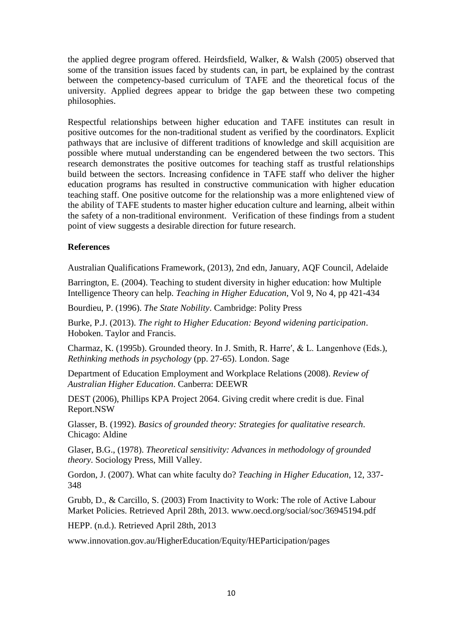the applied degree program offered. Heirdsfield, Walker, & Walsh (2005) observed that some of the transition issues faced by students can, in part, be explained by the contrast between the competency-based curriculum of TAFE and the theoretical focus of the university. Applied degrees appear to bridge the gap between these two competing philosophies.

Respectful relationships between higher education and TAFE institutes can result in positive outcomes for the non-traditional student as verified by the coordinators. Explicit pathways that are inclusive of different traditions of knowledge and skill acquisition are possible where mutual understanding can be engendered between the two sectors. This research demonstrates the positive outcomes for teaching staff as trustful relationships build between the sectors. Increasing confidence in TAFE staff who deliver the higher education programs has resulted in constructive communication with higher education teaching staff. One positive outcome for the relationship was a more enlightened view of the ability of TAFE students to master higher education culture and learning, albeit within the safety of a non-traditional environment. Verification of these findings from a student point of view suggests a desirable direction for future research.

## **References**

Australian Qualifications Framework, (2013), 2nd edn, January, AQF Council, Adelaide

Barrington, E. (2004). Teaching to student diversity in higher education: how Multiple Intelligence Theory can help. *Teaching in Higher Education*, Vol 9, No 4, pp 421-434

Bourdieu, P. (1996). *The State Nobility*. Cambridge: Polity Press

Burke, P.J. (2013). *The right to Higher Education: Beyond widening participation*. Hoboken. Taylor and Francis.

Charmaz, K. (1995b). Grounded theory. In J. Smith, R. Harre′, & L. Langenhove (Eds.), *Rethinking methods in psychology* (pp. 27-65). London. Sage

Department of Education Employment and Workplace Relations (2008). *Review of Australian Higher Education*. Canberra: DEEWR

DEST (2006), Phillips KPA Project 2064. Giving credit where credit is due. Final Report.NSW

Glasser, B. (1992). *Basics of grounded theory: Strategies for qualitative research*. Chicago: Aldine

Glaser, B.G., (1978). *Theoretical sensitivity: Advances in methodology of grounded theory*. Sociology Press, Mill Valley.

Gordon, J. (2007). What can white faculty do? *Teaching in Higher Education*, 12, 337- 348

Grubb, D., & Carcillo, S. (2003) From Inactivity to Work: The role of Active Labour Market Policies. Retrieved April 28th, 2013. www.oecd.org/social/soc/36945194.pdf

HEPP. (n.d.). Retrieved April 28th, 2013

www.innovation.gov.au/HigherEducation/Equity/HEParticipation/pages